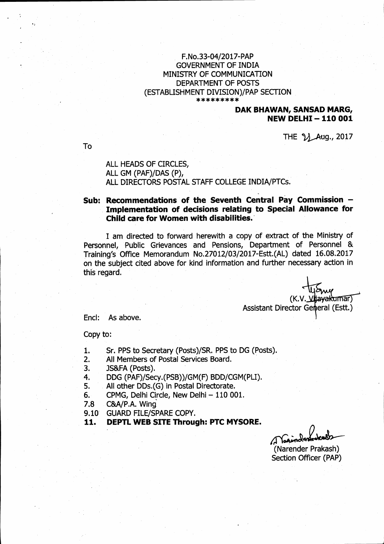### F.No.33-04/2017-PAP **GOVERNMENT OF INDIA** MINISTRY OF COMMUNICATION DEPARTMENT OF POSTS (ESTABLISHMENT DIVISION)/PAP SECTION \*\*\*\*\*\*\*\*\*

## DAK BHAWAN, SANSAD MARG, **NEW DELHI-110001**

THE 21 Aug., 2017

To

ALL HEADS OF CIRCLES, ALL GM (PAF)/DAS (P), ALL DIRECTORS POSTAL STAFF COLLEGE INDIA/PTCs.

## Sub: Recommendations of the Seventh Central Pay Commission -Implementation of decisions relating to Special Allowance for Child care for Women with disabilities.

I am directed to forward herewith a copy of extract of the Ministry of Personnel, Public Grievances and Pensions, Department of Personnel & Training's Office Memorandum No.27012/03/2017-Estt.(AL) dated 16.08.2017 on the subject cited above for kind information and further necessary action in this regard.

> (K.V. liava kumar) Assistant Director General (Estt.)

Encl: As above.

Copy to:

- Sr. PPS to Secretary (Posts)/SR. PPS to DG (Posts).  $\mathbf{1}$ .
- $2.$ All Members of Postal Services Board.
- $\overline{3}$ . JS&FA (Posts).
- DDG (PAF)/Secy.(PSB))/GM(F) BDD/CGM(PLI). 4.
- All other DDs.(G) in Postal Directorate. 5.
- CPMG, Delhi Circle, New Delhi 110 001.  $6.$
- C&A/P.A. Wing  $7.8$
- $9.10^{\circ}$ **GUARD FILE/SPARE COPY.**
- DEPTL WEB SITE Through: PTC MYSORE. 11.

(Narender Prakash) **Section Officer (PAP)**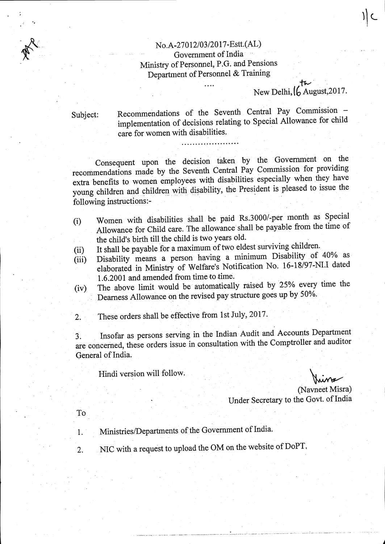# No.A-27012/03/2017-Estt.(AL) Government of India Ministry of Personnel, P.G. and Pensions Department of Personnel & Training

 $\overline{a}$ .

# New Delhi,  $\int_{0}^{1}$  August, 2017.

Subject:

Recommendations of the Seventh Central Pay Commission implementation of decisions relating to Special Allowance for child care for women with disabilities.

Consequent upon the decision taken by the Government on the recommendations made by the Seventh Central Pay Commission for providing extra benefits to women employees with disabilities especially when they have young children and children with disability, the President is pleased to issue the following instructions:-

- Women with disabilities shall be paid Rs.3000/-per month as Special  $(i)$ Allowance for Child care. The allowance shall be payable from the time of the child's birth till the child is two years old.
- It shall be payable for a maximum of two eldest surviving children.  $(ii)$
- Disability means a person having a minimum Disability of 40% as  $(iii)$ elaborated in Ministry of Welfare's Notification No. 16-18/97-NI.I dated 1.6.2001 and amended from time to time.
- The above limit would be automatically raised by 25% every time the  $(iv)$ Dearness Allowance on the revised pay structure goes up by 50%.

These orders shall be effective from 1st July, 2017.  $\overline{2}$ .

Insofar as persons serving in the Indian Audit and Accounts Department  $\overline{3}$ . are concerned, these orders issue in consultation with the Comptroller and auditor General of India.

Hindi version will follow.

(Navneet Misra) Under Secretary to the Govt. of India

- To
- Ministries/Departments of the Government of India. 1.
- NIC with a request to upload the OM on the website of DoPT.  $\overline{2}$ .